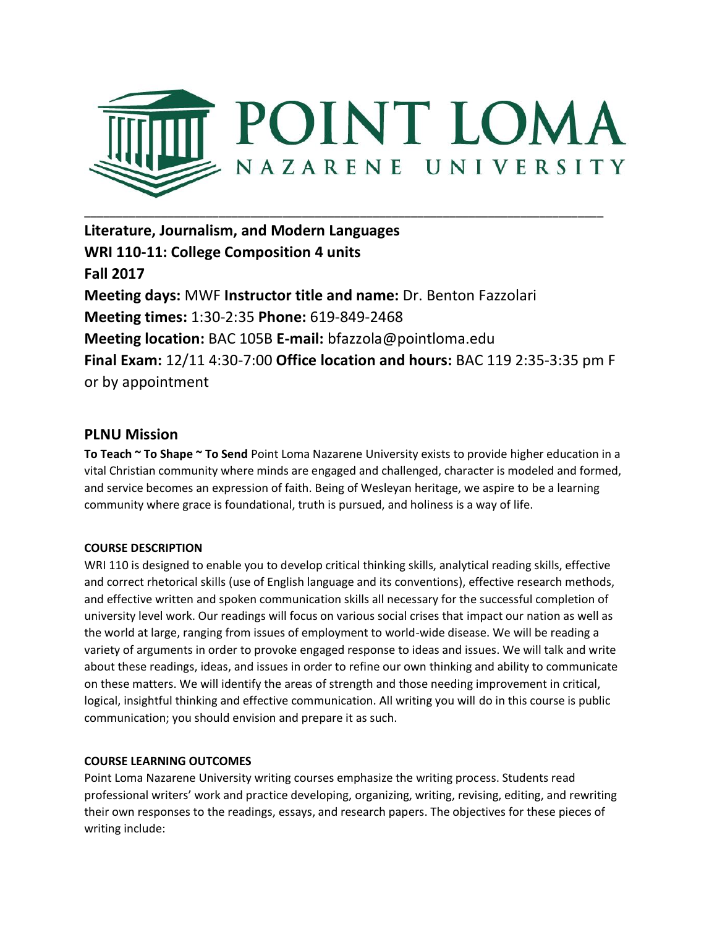

**Literature, Journalism, and Modern Languages WRI 110-11: College Composition 4 units Fall 2017 Meeting days:** MWF **Instructor title and name:** Dr. Benton Fazzolari **Meeting times:** 1:30-2:35 **Phone:** 619-849-2468 **Meeting location:** BAC 105B **E-mail:** bfazzola@pointloma.edu **Final Exam:** 12/11 4:30-7:00 **Office location and hours:** BAC 119 2:35-3:35 pm F or by appointment

# **PLNU Mission**

**To Teach ~ To Shape ~ To Send** Point Loma Nazarene University exists to provide higher education in a vital Christian community where minds are engaged and challenged, character is modeled and formed, and service becomes an expression of faith. Being of Wesleyan heritage, we aspire to be a learning community where grace is foundational, truth is pursued, and holiness is a way of life.

# **COURSE DESCRIPTION**

WRI 110 is designed to enable you to develop critical thinking skills, analytical reading skills, effective and correct rhetorical skills (use of English language and its conventions), effective research methods, and effective written and spoken communication skills all necessary for the successful completion of university level work. Our readings will focus on various social crises that impact our nation as well as the world at large, ranging from issues of employment to world-wide disease. We will be reading a variety of arguments in order to provoke engaged response to ideas and issues. We will talk and write about these readings, ideas, and issues in order to refine our own thinking and ability to communicate on these matters. We will identify the areas of strength and those needing improvement in critical, logical, insightful thinking and effective communication. All writing you will do in this course is public communication; you should envision and prepare it as such.

## **COURSE LEARNING OUTCOMES**

Point Loma Nazarene University writing courses emphasize the writing process. Students read professional writers' work and practice developing, organizing, writing, revising, editing, and rewriting their own responses to the readings, essays, and research papers. The objectives for these pieces of writing include: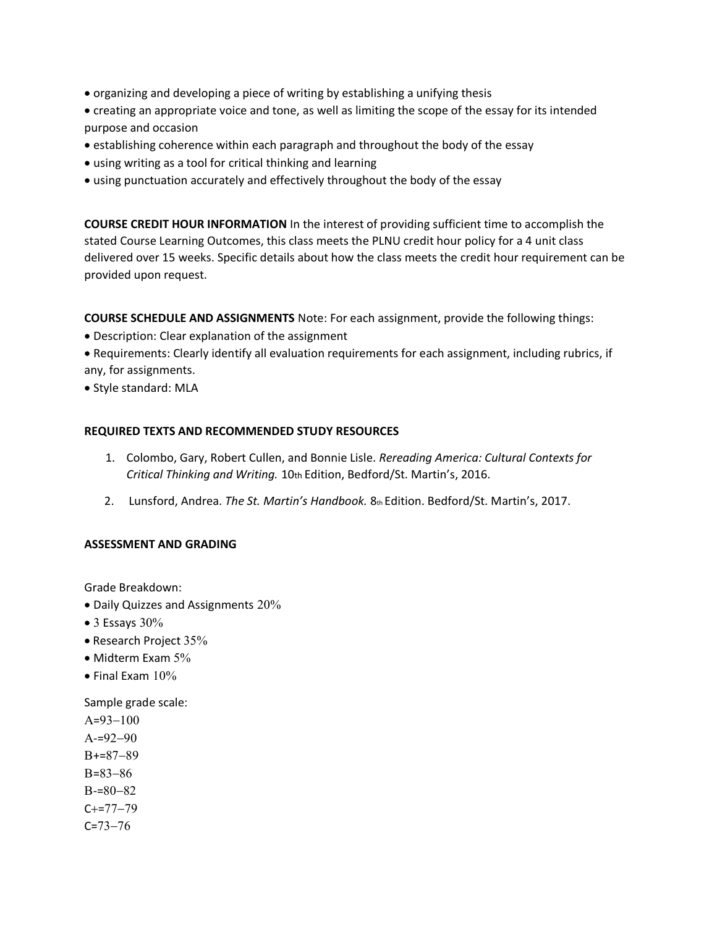- organizing and developing a piece of writing by establishing a unifying thesis
- creating an appropriate voice and tone, as well as limiting the scope of the essay for its intended purpose and occasion
- establishing coherence within each paragraph and throughout the body of the essay
- using writing as a tool for critical thinking and learning
- using punctuation accurately and effectively throughout the body of the essay

**COURSE CREDIT HOUR INFORMATION** In the interest of providing sufficient time to accomplish the stated Course Learning Outcomes, this class meets the PLNU credit hour policy for a 4 unit class delivered over 15 weeks. Specific details about how the class meets the credit hour requirement can be provided upon request.

**COURSE SCHEDULE AND ASSIGNMENTS** Note: For each assignment, provide the following things:

- Description: Clear explanation of the assignment
- Requirements: Clearly identify all evaluation requirements for each assignment, including rubrics, if any, for assignments.
- Style standard: MLA

## **REQUIRED TEXTS AND RECOMMENDED STUDY RESOURCES**

- 1. Colombo, Gary, Robert Cullen, and Bonnie Lisle. *Rereading America: Cultural Contexts for Critical Thinking and Writing.* 10th Edition, Bedford/St. Martin's, 2016.
- 2. Lunsford, Andrea. *The St. Martin's Handbook.* 8th Edition. Bedford/St. Martin's, 2017.

## **ASSESSMENT AND GRADING**

Grade Breakdown:

- Daily Quizzes and Assignments 20%
- $\bullet$  3 Essays 30%
- Research Project 35%
- Midterm Exam 5%
- $\bullet$  Final Exam  $10\%$

Sample grade scale

 $A=93-100$  $A=92-90$  $B+=87-89$  $B=83-86$  $B = 80 - 82$  $C+=77-79$  $C = 73 - 76$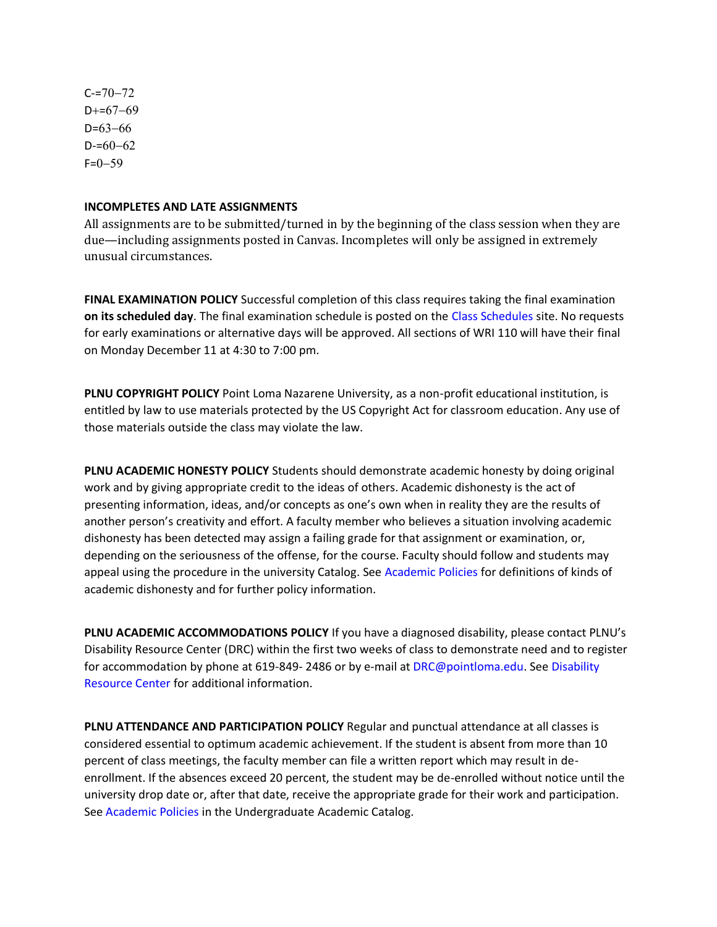$C = 70 - 72$  $D+=67-69$  $D=63-66$  $D = 60 - 62$  $F=0-59$ 

#### **INCOMPLETES AND LATE ASSIGNMENTS**

All assignments are to be submitted/turned in by the beginning of the class session when they are due—including assignments posted in Canvas. Incompletes will only be assigned in extremely unusual circumstances.

**FINAL EXAMINATION POLICY** Successful completion of this class requires taking the final examination **on its scheduled day**. The final examination schedule is posted on the Class Schedules site. No requests for early examinations or alternative days will be approved. All sections of WRI 110 will have their final on Monday December 11 at 4:30 to 7:00 pm.

**PLNU COPYRIGHT POLICY** Point Loma Nazarene University, as a non-profit educational institution, is entitled by law to use materials protected by the US Copyright Act for classroom education. Any use of those materials outside the class may violate the law.

**PLNU ACADEMIC HONESTY POLICY** Students should demonstrate academic honesty by doing original work and by giving appropriate credit to the ideas of others. Academic dishonesty is the act of presenting information, ideas, and/or concepts as one's own when in reality they are the results of another person's creativity and effort. A faculty member who believes a situation involving academic dishonesty has been detected may assign a failing grade for that assignment or examination, or, depending on the seriousness of the offense, for the course. Faculty should follow and students may appeal using the procedure in the university Catalog. See Academic Policies for definitions of kinds of academic dishonesty and for further policy information.

**PLNU ACADEMIC ACCOMMODATIONS POLICY** If you have a diagnosed disability, please contact PLNU's Disability Resource Center (DRC) within the first two weeks of class to demonstrate need and to register for accommodation by phone at 619-849- 2486 or by e-mail at DRC@pointloma.edu. See Disability Resource Center for additional information.

**PLNU ATTENDANCE AND PARTICIPATION POLICY** Regular and punctual attendance at all classes is considered essential to optimum academic achievement. If the student is absent from more than 10 percent of class meetings, the faculty member can file a written report which may result in deenrollment. If the absences exceed 20 percent, the student may be de-enrolled without notice until the university drop date or, after that date, receive the appropriate grade for their work and participation. See Academic Policies in the Undergraduate Academic Catalog.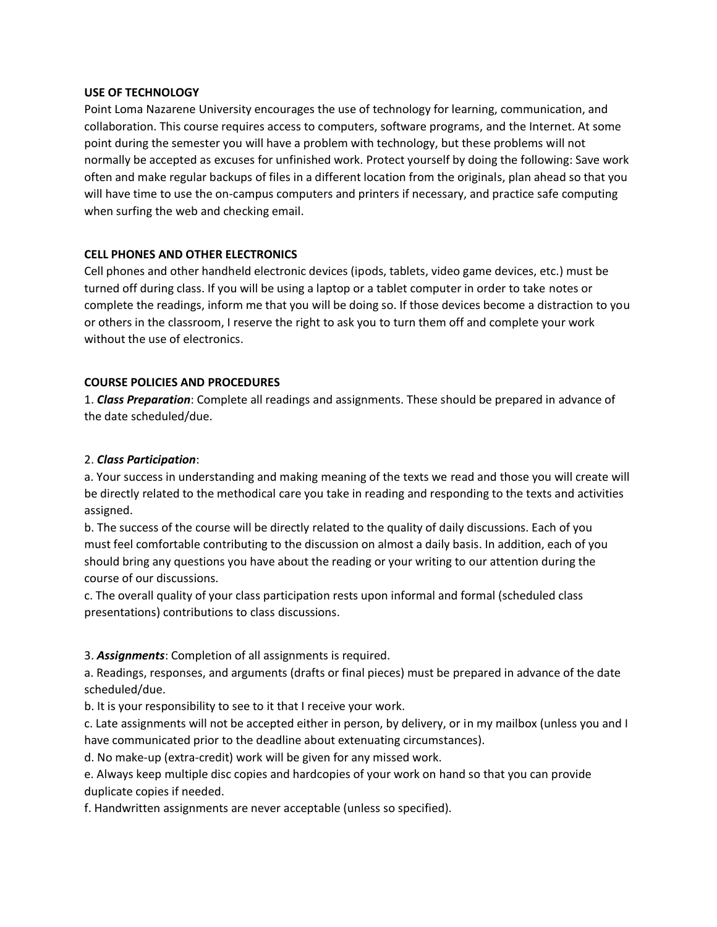#### **USE OF TECHNOLOGY**

Point Loma Nazarene University encourages the use of technology for learning, communication, and collaboration. This course requires access to computers, software programs, and the Internet. At some point during the semester you will have a problem with technology, but these problems will not normally be accepted as excuses for unfinished work. Protect yourself by doing the following: Save work often and make regular backups of files in a different location from the originals, plan ahead so that you will have time to use the on-campus computers and printers if necessary, and practice safe computing when surfing the web and checking email.

# **CELL PHONES AND OTHER ELECTRONICS**

Cell phones and other handheld electronic devices (ipods, tablets, video game devices, etc.) must be turned off during class. If you will be using a laptop or a tablet computer in order to take notes or complete the readings, inform me that you will be doing so. If those devices become a distraction to you or others in the classroom, I reserve the right to ask you to turn them off and complete your work without the use of electronics.

# **COURSE POLICIES AND PROCEDURES**

1. *Class Preparation*: Complete all readings and assignments. These should be prepared in advance of the date scheduled/due.

## 2. *Class Participation*:

a. Your success in understanding and making meaning of the texts we read and those you will create will be directly related to the methodical care you take in reading and responding to the texts and activities assigned.

b. The success of the course will be directly related to the quality of daily discussions. Each of you must feel comfortable contributing to the discussion on almost a daily basis. In addition, each of you should bring any questions you have about the reading or your writing to our attention during the course of our discussions.

c. The overall quality of your class participation rests upon informal and formal (scheduled class presentations) contributions to class discussions.

3. *Assignments*: Completion of all assignments is required.

a. Readings, responses, and arguments (drafts or final pieces) must be prepared in advance of the date scheduled/due.

b. It is your responsibility to see to it that I receive your work.

c. Late assignments will not be accepted either in person, by delivery, or in my mailbox (unless you and I have communicated prior to the deadline about extenuating circumstances).

d. No make-up (extra-credit) work will be given for any missed work.

e. Always keep multiple disc copies and hardcopies of your work on hand so that you can provide duplicate copies if needed.

f. Handwritten assignments are never acceptable (unless so specified).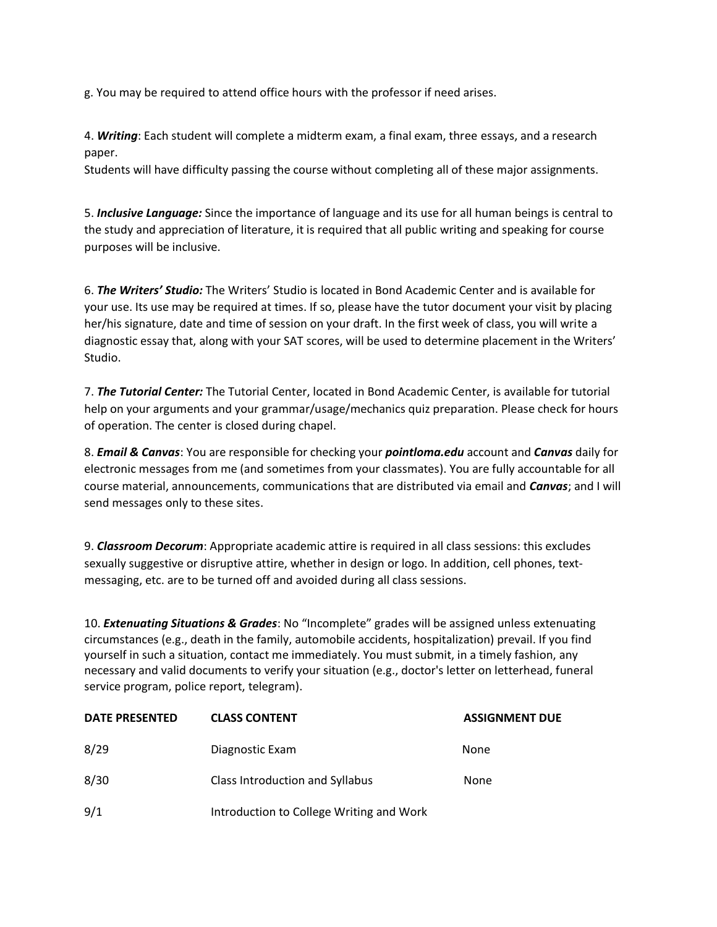g. You may be required to attend office hours with the professor if need arises.

4. *Writing*: Each student will complete a midterm exam, a final exam, three essays, and a research paper.

Students will have difficulty passing the course without completing all of these major assignments.

5. *Inclusive Language:* Since the importance of language and its use for all human beings is central to the study and appreciation of literature, it is required that all public writing and speaking for course purposes will be inclusive.

6. *The Writers' Studio:* The Writers' Studio is located in Bond Academic Center and is available for your use. Its use may be required at times. If so, please have the tutor document your visit by placing her/his signature, date and time of session on your draft. In the first week of class, you will write a diagnostic essay that, along with your SAT scores, will be used to determine placement in the Writers' Studio.

7. *The Tutorial Center:* The Tutorial Center, located in Bond Academic Center, is available for tutorial help on your arguments and your grammar/usage/mechanics quiz preparation. Please check for hours of operation. The center is closed during chapel.

8. *Email & Canvas*: You are responsible for checking your *pointloma.edu* account and *Canvas* daily for electronic messages from me (and sometimes from your classmates). You are fully accountable for all course material, announcements, communications that are distributed via email and *Canvas*; and I will send messages only to these sites.

9. *Classroom Decorum*: Appropriate academic attire is required in all class sessions: this excludes sexually suggestive or disruptive attire, whether in design or logo. In addition, cell phones, textmessaging, etc. are to be turned off and avoided during all class sessions.

10. *Extenuating Situations & Grades*: No "Incomplete" grades will be assigned unless extenuating circumstances (e.g., death in the family, automobile accidents, hospitalization) prevail. If you find yourself in such a situation, contact me immediately. You must submit, in a timely fashion, any necessary and valid documents to verify your situation (e.g., doctor's letter on letterhead, funeral service program, police report, telegram).

| <b>DATE PRESENTED</b> | <b>CLASS CONTENT</b>                     | <b>ASSIGNMENT DUE</b> |
|-----------------------|------------------------------------------|-----------------------|
| 8/29                  | Diagnostic Exam                          | None                  |
| 8/30                  | Class Introduction and Syllabus          | None                  |
| 9/1                   | Introduction to College Writing and Work |                       |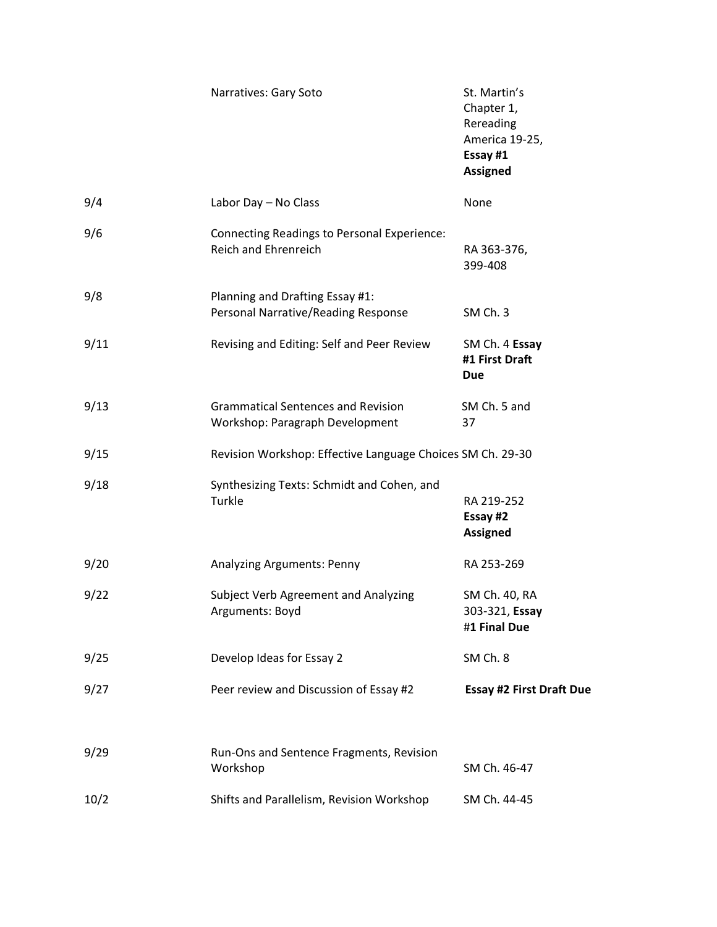|      | Narratives: Gary Soto                                                        | St. Martin's<br>Chapter 1,<br>Rereading<br>America 19-25,<br>Essay #1<br><b>Assigned</b> |  |
|------|------------------------------------------------------------------------------|------------------------------------------------------------------------------------------|--|
| 9/4  | Labor Day - No Class                                                         | None                                                                                     |  |
| 9/6  | Connecting Readings to Personal Experience:<br><b>Reich and Ehrenreich</b>   | RA 363-376,<br>399-408                                                                   |  |
| 9/8  | Planning and Drafting Essay #1:<br>Personal Narrative/Reading Response       | SM Ch. 3                                                                                 |  |
| 9/11 | Revising and Editing: Self and Peer Review                                   | SM Ch. 4 Essay<br>#1 First Draft<br><b>Due</b>                                           |  |
| 9/13 | <b>Grammatical Sentences and Revision</b><br>Workshop: Paragraph Development | SM Ch. 5 and<br>37                                                                       |  |
| 9/15 |                                                                              | Revision Workshop: Effective Language Choices SM Ch. 29-30                               |  |
| 9/18 | Synthesizing Texts: Schmidt and Cohen, and<br>Turkle                         | RA 219-252<br>Essay #2<br><b>Assigned</b>                                                |  |
| 9/20 | Analyzing Arguments: Penny                                                   | RA 253-269                                                                               |  |
| 9/22 | Subject Verb Agreement and Analyzing<br>Arguments: Boyd                      | SM Ch. 40, RA<br>303-321, Essay<br>#1 Final Due                                          |  |
| 9/25 | Develop Ideas for Essay 2                                                    | SM Ch. 8                                                                                 |  |
| 9/27 | Peer review and Discussion of Essay #2                                       | <b>Essay #2 First Draft Due</b>                                                          |  |
| 9/29 | Run-Ons and Sentence Fragments, Revision<br>Workshop                         | SM Ch. 46-47                                                                             |  |
| 10/2 | Shifts and Parallelism, Revision Workshop                                    | SM Ch. 44-45                                                                             |  |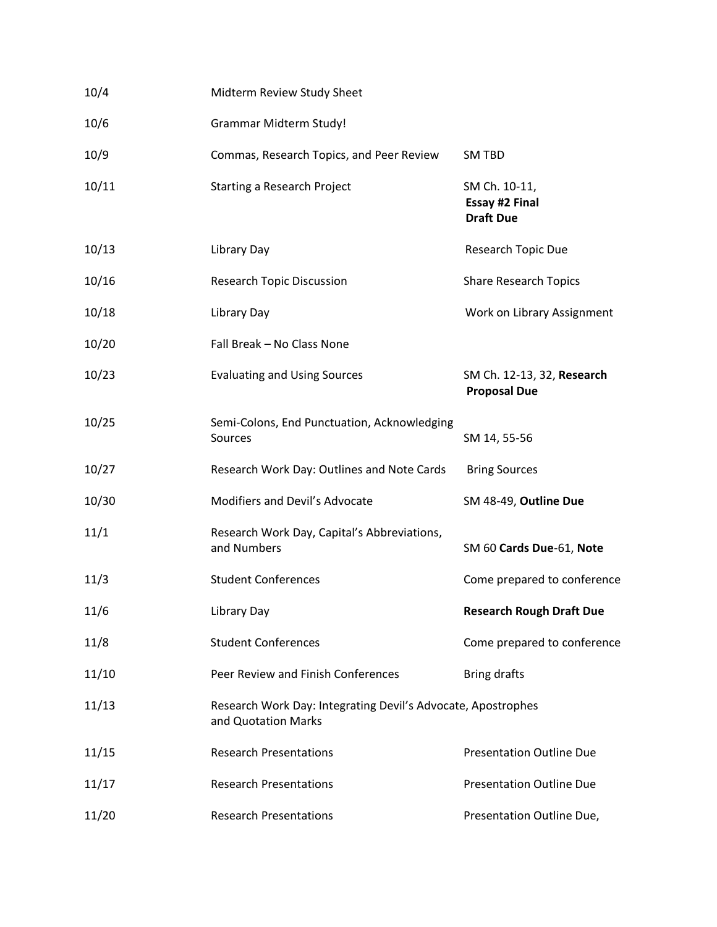| 10/4  | Midterm Review Study Sheet                                                          |                                                            |
|-------|-------------------------------------------------------------------------------------|------------------------------------------------------------|
| 10/6  | <b>Grammar Midterm Study!</b>                                                       |                                                            |
| 10/9  | Commas, Research Topics, and Peer Review                                            | <b>SM TBD</b>                                              |
| 10/11 | <b>Starting a Research Project</b>                                                  | SM Ch. 10-11,<br><b>Essay #2 Final</b><br><b>Draft Due</b> |
| 10/13 | Library Day                                                                         | Research Topic Due                                         |
| 10/16 | <b>Research Topic Discussion</b>                                                    | <b>Share Research Topics</b>                               |
| 10/18 | Library Day                                                                         | Work on Library Assignment                                 |
| 10/20 | Fall Break - No Class None                                                          |                                                            |
| 10/23 | <b>Evaluating and Using Sources</b>                                                 | SM Ch. 12-13, 32, Research<br><b>Proposal Due</b>          |
| 10/25 | Semi-Colons, End Punctuation, Acknowledging<br>Sources                              | SM 14, 55-56                                               |
| 10/27 | Research Work Day: Outlines and Note Cards                                          | <b>Bring Sources</b>                                       |
| 10/30 | Modifiers and Devil's Advocate                                                      | SM 48-49, Outline Due                                      |
| 11/1  | Research Work Day, Capital's Abbreviations,<br>and Numbers                          | SM 60 Cards Due-61, Note                                   |
| 11/3  | <b>Student Conferences</b>                                                          | Come prepared to conference                                |
| 11/6  | Library Day                                                                         | <b>Research Rough Draft Due</b>                            |
| 11/8  | <b>Student Conferences</b>                                                          | Come prepared to conference                                |
| 11/10 | Peer Review and Finish Conferences                                                  | <b>Bring drafts</b>                                        |
| 11/13 | Research Work Day: Integrating Devil's Advocate, Apostrophes<br>and Quotation Marks |                                                            |
| 11/15 | <b>Research Presentations</b>                                                       | <b>Presentation Outline Due</b>                            |
| 11/17 | <b>Research Presentations</b>                                                       | <b>Presentation Outline Due</b>                            |
| 11/20 | <b>Research Presentations</b>                                                       | Presentation Outline Due,                                  |